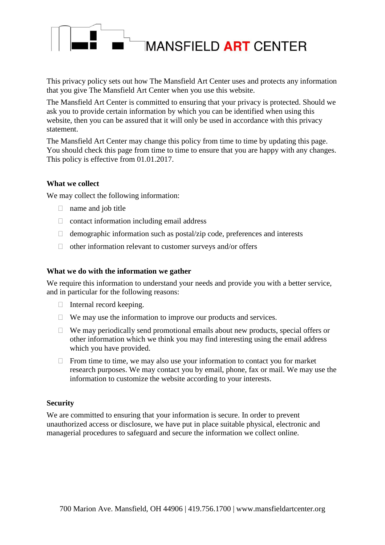

MANSFIELD ART CENTER

This privacy policy sets out how The Mansfield Art Center uses and protects any information that you give The Mansfield Art Center when you use this website.

The Mansfield Art Center is committed to ensuring that your privacy is protected. Should we ask you to provide certain information by which you can be identified when using this website, then you can be assured that it will only be used in accordance with this privacy statement.

The Mansfield Art Center may change this policy from time to time by updating this page. You should check this page from time to time to ensure that you are happy with any changes. This policy is effective from 01.01.2017.

# **What we collect**

We may collect the following information:

- $\Box$  name and job title
- $\Box$  contact information including email address
- $\Box$  demographic information such as postal/zip code, preferences and interests
- $\Box$  other information relevant to customer surveys and/or offers

### **What we do with the information we gather**

We require this information to understand your needs and provide you with a better service, and in particular for the following reasons:

- $\Box$  Internal record keeping.
- $\Box$  We may use the information to improve our products and services.
- $\Box$  We may periodically send promotional emails about new products, special offers or other information which we think you may find interesting using the email address which you have provided.
- $\Box$  From time to time, we may also use your information to contact you for market research purposes. We may contact you by email, phone, fax or mail. We may use the information to customize the website according to your interests.

# **Security**

We are committed to ensuring that your information is secure. In order to prevent unauthorized access or disclosure, we have put in place suitable physical, electronic and managerial procedures to safeguard and secure the information we collect online.